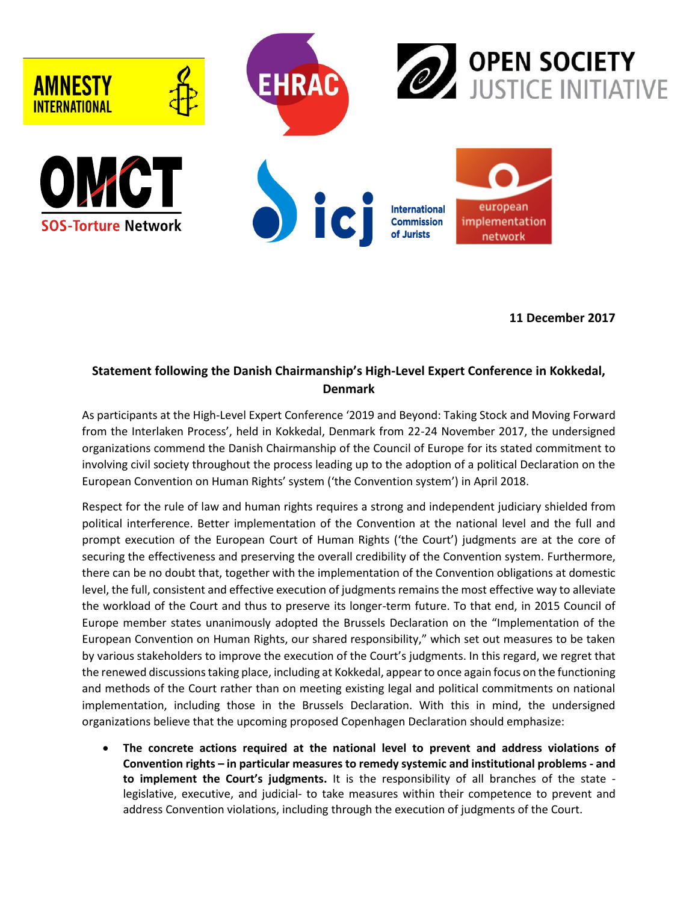

**11 December 2017**

## **Statement following the Danish Chairmanship's High-Level Expert Conference in Kokkedal, Denmark**

As participants at the High-Level Expert Conference '2019 and Beyond: Taking Stock and Moving Forward from the Interlaken Process', held in Kokkedal, Denmark from 22-24 November 2017, the undersigned organizations commend the Danish Chairmanship of the Council of Europe for its stated commitment to involving civil society throughout the process leading up to the adoption of a political Declaration on the European Convention on Human Rights' system ('the Convention system') in April 2018.

Respect for the rule of law and human rights requires a strong and independent judiciary shielded from political interference. Better implementation of the Convention at the national level and the full and prompt execution of the European Court of Human Rights ('the Court') judgments are at the core of securing the effectiveness and preserving the overall credibility of the Convention system. Furthermore, there can be no doubt that, together with the implementation of the Convention obligations at domestic level, the full, consistent and effective execution of judgments remains the most effective way to alleviate the workload of the Court and thus to preserve its longer-term future. To that end, in 2015 Council of Europe member states unanimously adopted the Brussels Declaration on the "Implementation of the European Convention on Human Rights, our shared responsibility," which set out measures to be taken by various stakeholders to improve the execution of the Court's judgments. In this regard, we regret that the renewed discussions taking place, including at Kokkedal, appear to once again focus on the functioning and methods of the Court rather than on meeting existing legal and political commitments on national implementation, including those in the Brussels Declaration. With this in mind, the undersigned organizations believe that the upcoming proposed Copenhagen Declaration should emphasize:

 **The concrete actions required at the national level to prevent and address violations of Convention rights – in particular measures to remedy systemic and institutional problems - and to implement the Court's judgments.** It is the responsibility of all branches of the state legislative, executive, and judicial- to take measures within their competence to prevent and address Convention violations, including through the execution of judgments of the Court.